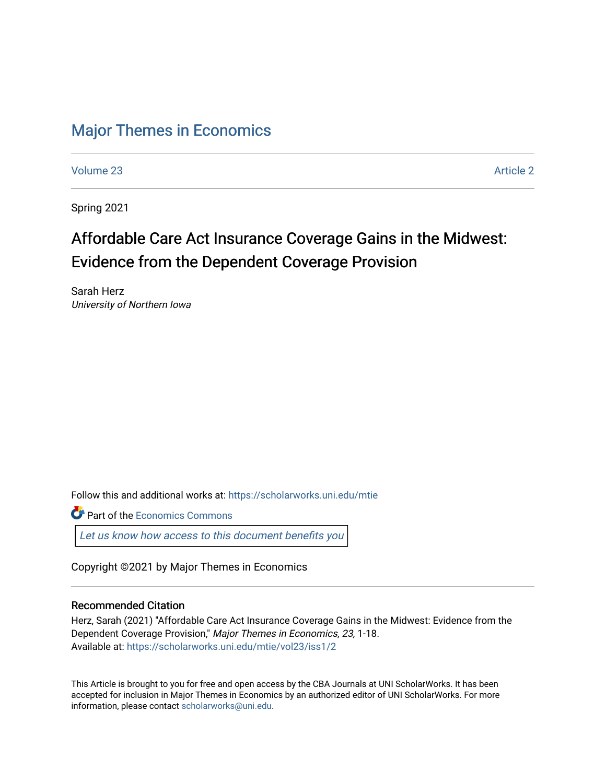## [Major Themes in Economics](https://scholarworks.uni.edu/mtie)

[Volume 23](https://scholarworks.uni.edu/mtie/vol23) [Article 2](https://scholarworks.uni.edu/mtie/vol23/iss1/2) 

Spring 2021

# Affordable Care Act Insurance Coverage Gains in the Midwest: Evidence from the Dependent Coverage Provision

Sarah Herz University of Northern Iowa

Follow this and additional works at: [https://scholarworks.uni.edu/mtie](https://scholarworks.uni.edu/mtie?utm_source=scholarworks.uni.edu%2Fmtie%2Fvol23%2Fiss1%2F2&utm_medium=PDF&utm_campaign=PDFCoverPages) 

**C** Part of the [Economics Commons](http://network.bepress.com/hgg/discipline/340?utm_source=scholarworks.uni.edu%2Fmtie%2Fvol23%2Fiss1%2F2&utm_medium=PDF&utm_campaign=PDFCoverPages)

[Let us know how access to this document benefits you](https://scholarworks.uni.edu/feedback_form.html) 

Copyright ©2021 by Major Themes in Economics

#### Recommended Citation

Herz, Sarah (2021) "Affordable Care Act Insurance Coverage Gains in the Midwest: Evidence from the Dependent Coverage Provision," Major Themes in Economics, 23, 1-18. Available at: [https://scholarworks.uni.edu/mtie/vol23/iss1/2](https://scholarworks.uni.edu/mtie/vol23/iss1/2?utm_source=scholarworks.uni.edu%2Fmtie%2Fvol23%2Fiss1%2F2&utm_medium=PDF&utm_campaign=PDFCoverPages) 

This Article is brought to you for free and open access by the CBA Journals at UNI ScholarWorks. It has been accepted for inclusion in Major Themes in Economics by an authorized editor of UNI ScholarWorks. For more information, please contact [scholarworks@uni.edu.](mailto:scholarworks@uni.edu)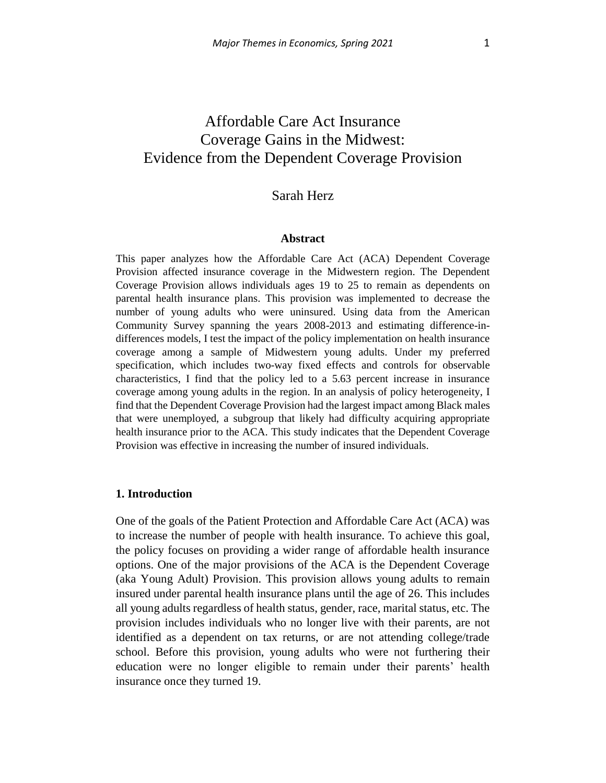## Affordable Care Act Insurance Coverage Gains in the Midwest: Evidence from the Dependent Coverage Provision

### Sarah Herz

#### **Abstract**

This paper analyzes how the Affordable Care Act (ACA) Dependent Coverage Provision affected insurance coverage in the Midwestern region. The Dependent Coverage Provision allows individuals ages 19 to 25 to remain as dependents on parental health insurance plans. This provision was implemented to decrease the number of young adults who were uninsured. Using data from the American Community Survey spanning the years 2008-2013 and estimating difference-indifferences models, I test the impact of the policy implementation on health insurance coverage among a sample of Midwestern young adults. Under my preferred specification, which includes two-way fixed effects and controls for observable characteristics, I find that the policy led to a 5.63 percent increase in insurance coverage among young adults in the region. In an analysis of policy heterogeneity, I find that the Dependent Coverage Provision had the largest impact among Black males that were unemployed, a subgroup that likely had difficulty acquiring appropriate health insurance prior to the ACA. This study indicates that the Dependent Coverage Provision was effective in increasing the number of insured individuals.

#### **1. Introduction**

One of the goals of the Patient Protection and Affordable Care Act (ACA) was to increase the number of people with health insurance. To achieve this goal, the policy focuses on providing a wider range of affordable health insurance options. One of the major provisions of the ACA is the Dependent Coverage (aka Young Adult) Provision. This provision allows young adults to remain insured under parental health insurance plans until the age of 26. This includes all young adults regardless of health status, gender, race, marital status, etc. The provision includes individuals who no longer live with their parents, are not identified as a dependent on tax returns, or are not attending college/trade school. Before this provision, young adults who were not furthering their education were no longer eligible to remain under their parents' health insurance once they turned 19.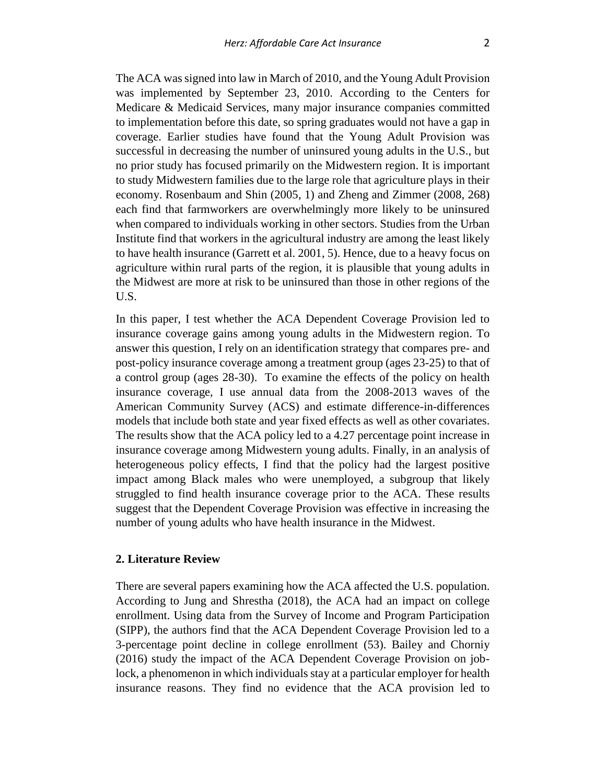The ACA was signed into law in March of 2010, and the Young Adult Provision was implemented by September 23, 2010. According to the Centers for Medicare & Medicaid Services, many major insurance companies committed to implementation before this date, so spring graduates would not have a gap in coverage. Earlier studies have found that the Young Adult Provision was successful in decreasing the number of uninsured young adults in the U.S., but no prior study has focused primarily on the Midwestern region. It is important to study Midwestern families due to the large role that agriculture plays in their economy. Rosenbaum and Shin (2005, 1) and Zheng and Zimmer (2008, 268) each find that farmworkers are overwhelmingly more likely to be uninsured when compared to individuals working in other sectors. Studies from the Urban Institute find that workers in the agricultural industry are among the least likely to have health insurance (Garrett et al. 2001, 5). Hence, due to a heavy focus on agriculture within rural parts of the region, it is plausible that young adults in the Midwest are more at risk to be uninsured than those in other regions of the U.S.

In this paper, I test whether the ACA Dependent Coverage Provision led to insurance coverage gains among young adults in the Midwestern region. To answer this question, I rely on an identification strategy that compares pre- and post-policy insurance coverage among a treatment group (ages 23-25) to that of a control group (ages 28-30). To examine the effects of the policy on health insurance coverage, I use annual data from the 2008-2013 waves of the American Community Survey (ACS) and estimate difference-in-differences models that include both state and year fixed effects as well as other covariates. The results show that the ACA policy led to a 4.27 percentage point increase in insurance coverage among Midwestern young adults. Finally, in an analysis of heterogeneous policy effects, I find that the policy had the largest positive impact among Black males who were unemployed, a subgroup that likely struggled to find health insurance coverage prior to the ACA. These results suggest that the Dependent Coverage Provision was effective in increasing the number of young adults who have health insurance in the Midwest.

#### **2. Literature Review**

There are several papers examining how the ACA affected the U.S. population. According to Jung and Shrestha (2018), the ACA had an impact on college enrollment. Using data from the Survey of Income and Program Participation (SIPP), the authors find that the ACA Dependent Coverage Provision led to a 3-percentage point decline in college enrollment (53). Bailey and Chorniy (2016) study the impact of the ACA Dependent Coverage Provision on joblock, a phenomenon in which individuals stay at a particular employer for health insurance reasons. They find no evidence that the ACA provision led to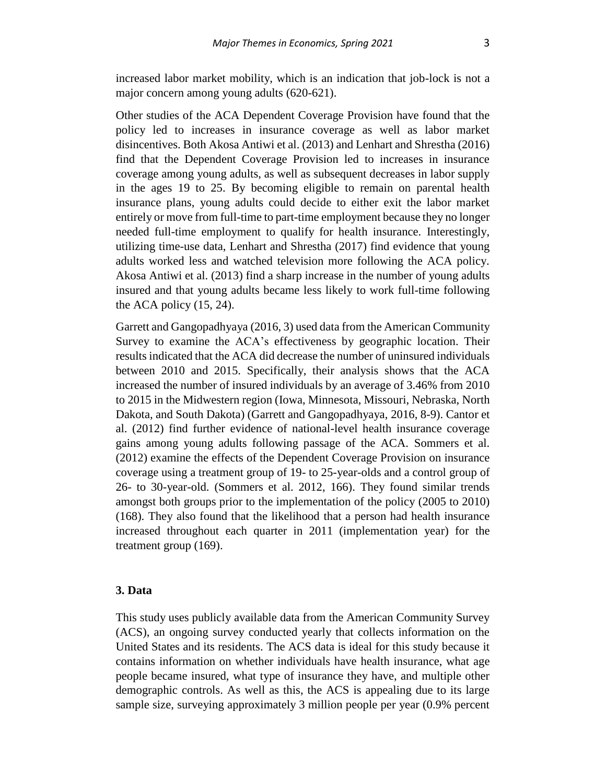increased labor market mobility, which is an indication that job-lock is not a major concern among young adults (620-621).

Other studies of the ACA Dependent Coverage Provision have found that the policy led to increases in insurance coverage as well as labor market disincentives. Both Akosa Antiwi et al. (2013) and Lenhart and Shrestha (2016) find that the Dependent Coverage Provision led to increases in insurance coverage among young adults, as well as subsequent decreases in labor supply in the ages 19 to 25. By becoming eligible to remain on parental health insurance plans, young adults could decide to either exit the labor market entirely or move from full-time to part-time employment because they no longer needed full-time employment to qualify for health insurance. Interestingly, utilizing time-use data, Lenhart and Shrestha (2017) find evidence that young adults worked less and watched television more following the ACA policy. Akosa Antiwi et al. (2013) find a sharp increase in the number of young adults insured and that young adults became less likely to work full-time following the ACA policy (15, 24).

Garrett and Gangopadhyaya (2016, 3) used data from the American Community Survey to examine the ACA's effectiveness by geographic location. Their results indicated that the ACA did decrease the number of uninsured individuals between 2010 and 2015. Specifically, their analysis shows that the ACA increased the number of insured individuals by an average of 3.46% from 2010 to 2015 in the Midwestern region (Iowa, Minnesota, Missouri, Nebraska, North Dakota, and South Dakota) (Garrett and Gangopadhyaya, 2016, 8-9). Cantor et al. (2012) find further evidence of national-level health insurance coverage gains among young adults following passage of the ACA. Sommers et al. (2012) examine the effects of the Dependent Coverage Provision on insurance coverage using a treatment group of 19- to 25-year-olds and a control group of 26- to 30-year-old. (Sommers et al. 2012, 166). They found similar trends amongst both groups prior to the implementation of the policy (2005 to 2010) (168). They also found that the likelihood that a person had health insurance increased throughout each quarter in 2011 (implementation year) for the treatment group (169).

#### **3. Data**

This study uses publicly available data from the American Community Survey (ACS), an ongoing survey conducted yearly that collects information on the United States and its residents. The ACS data is ideal for this study because it contains information on whether individuals have health insurance, what age people became insured, what type of insurance they have, and multiple other demographic controls. As well as this, the ACS is appealing due to its large sample size, surveying approximately 3 million people per year (0.9% percent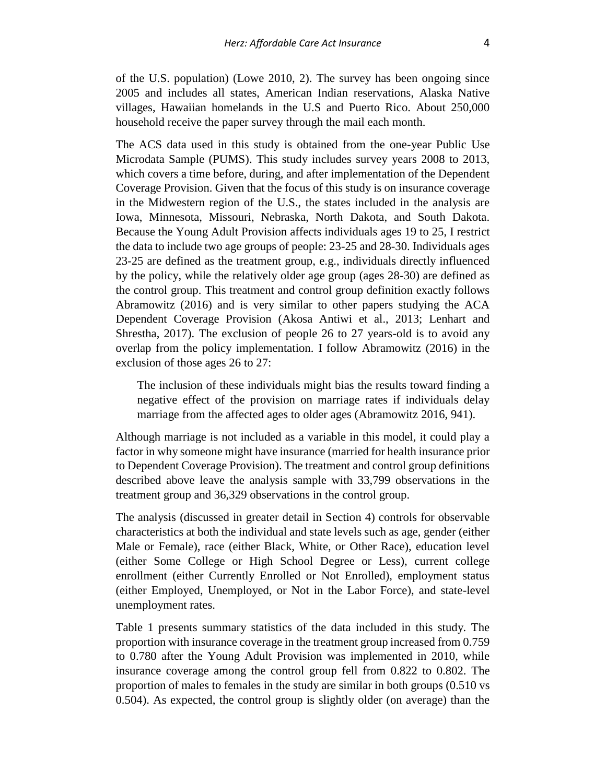of the U.S. population) (Lowe 2010, 2). The survey has been ongoing since 2005 and includes all states, American Indian reservations, Alaska Native villages, Hawaiian homelands in the U.S and Puerto Rico. About 250,000 household receive the paper survey through the mail each month.

The ACS data used in this study is obtained from the one-year Public Use Microdata Sample (PUMS). This study includes survey years 2008 to 2013, which covers a time before, during, and after implementation of the Dependent Coverage Provision. Given that the focus of this study is on insurance coverage in the Midwestern region of the U.S., the states included in the analysis are Iowa, Minnesota, Missouri, Nebraska, North Dakota, and South Dakota. Because the Young Adult Provision affects individuals ages 19 to 25, I restrict the data to include two age groups of people: 23-25 and 28-30. Individuals ages 23-25 are defined as the treatment group, e.g., individuals directly influenced by the policy, while the relatively older age group (ages 28-30) are defined as the control group. This treatment and control group definition exactly follows Abramowitz (2016) and is very similar to other papers studying the ACA Dependent Coverage Provision (Akosa Antiwi et al., 2013; Lenhart and Shrestha, 2017). The exclusion of people 26 to 27 years-old is to avoid any overlap from the policy implementation. I follow Abramowitz (2016) in the exclusion of those ages 26 to 27:

The inclusion of these individuals might bias the results toward finding a negative effect of the provision on marriage rates if individuals delay marriage from the affected ages to older ages (Abramowitz 2016, 941).

Although marriage is not included as a variable in this model, it could play a factor in why someone might have insurance (married for health insurance prior to Dependent Coverage Provision). The treatment and control group definitions described above leave the analysis sample with 33,799 observations in the treatment group and 36,329 observations in the control group.

The analysis (discussed in greater detail in Section 4) controls for observable characteristics at both the individual and state levels such as age, gender (either Male or Female), race (either Black, White, or Other Race), education level (either Some College or High School Degree or Less), current college enrollment (either Currently Enrolled or Not Enrolled), employment status (either Employed, Unemployed, or Not in the Labor Force), and state-level unemployment rates.

Table 1 presents summary statistics of the data included in this study. The proportion with insurance coverage in the treatment group increased from 0.759 to 0.780 after the Young Adult Provision was implemented in 2010, while insurance coverage among the control group fell from 0.822 to 0.802. The proportion of males to females in the study are similar in both groups (0.510 vs 0.504). As expected, the control group is slightly older (on average) than the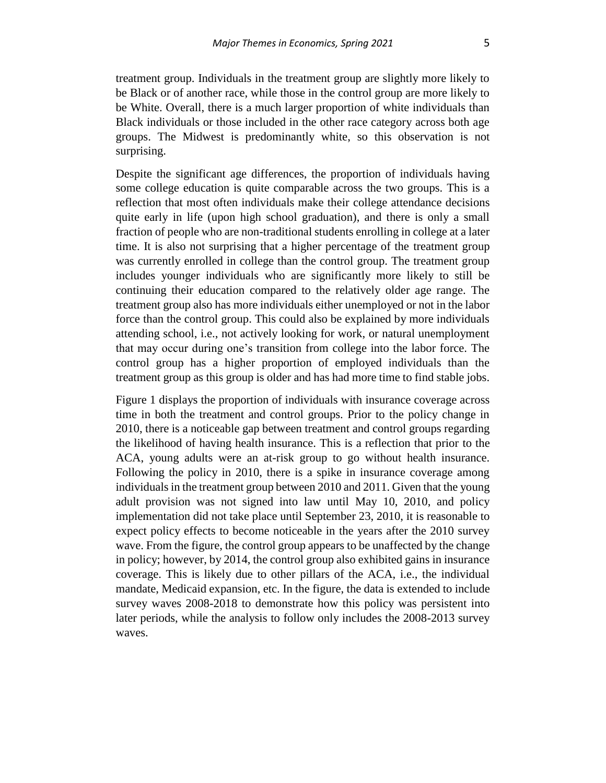treatment group. Individuals in the treatment group are slightly more likely to be Black or of another race, while those in the control group are more likely to be White. Overall, there is a much larger proportion of white individuals than Black individuals or those included in the other race category across both age groups. The Midwest is predominantly white, so this observation is not surprising.

Despite the significant age differences, the proportion of individuals having some college education is quite comparable across the two groups. This is a reflection that most often individuals make their college attendance decisions quite early in life (upon high school graduation), and there is only a small fraction of people who are non-traditional students enrolling in college at a later time. It is also not surprising that a higher percentage of the treatment group was currently enrolled in college than the control group. The treatment group includes younger individuals who are significantly more likely to still be continuing their education compared to the relatively older age range. The treatment group also has more individuals either unemployed or not in the labor force than the control group. This could also be explained by more individuals attending school, i.e., not actively looking for work, or natural unemployment that may occur during one's transition from college into the labor force. The control group has a higher proportion of employed individuals than the treatment group as this group is older and has had more time to find stable jobs.

Figure 1 displays the proportion of individuals with insurance coverage across time in both the treatment and control groups. Prior to the policy change in 2010, there is a noticeable gap between treatment and control groups regarding the likelihood of having health insurance. This is a reflection that prior to the ACA, young adults were an at-risk group to go without health insurance. Following the policy in 2010, there is a spike in insurance coverage among individuals in the treatment group between 2010 and 2011. Given that the young adult provision was not signed into law until May 10, 2010, and policy implementation did not take place until September 23, 2010, it is reasonable to expect policy effects to become noticeable in the years after the 2010 survey wave. From the figure, the control group appears to be unaffected by the change in policy; however, by 2014, the control group also exhibited gains in insurance coverage. This is likely due to other pillars of the ACA, i.e., the individual mandate, Medicaid expansion, etc. In the figure, the data is extended to include survey waves 2008-2018 to demonstrate how this policy was persistent into later periods, while the analysis to follow only includes the 2008-2013 survey waves.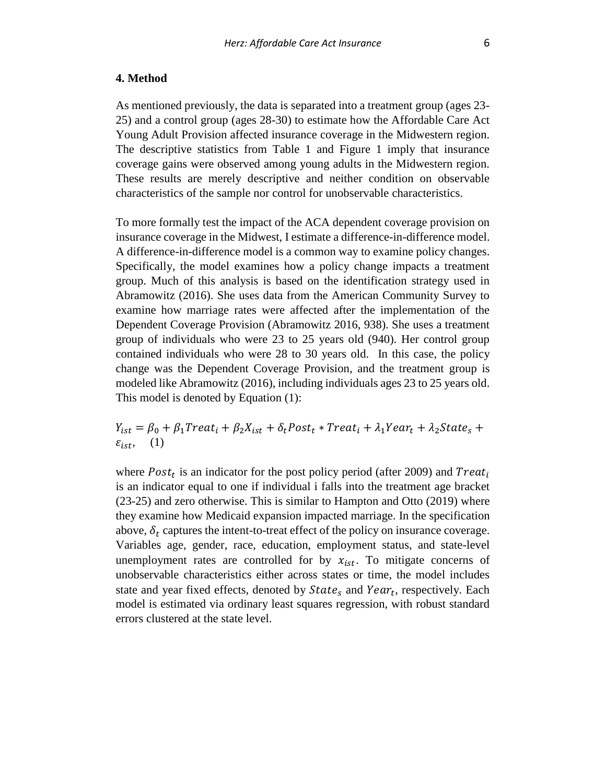#### **4. Method**

As mentioned previously, the data is separated into a treatment group (ages 23- 25) and a control group (ages 28-30) to estimate how the Affordable Care Act Young Adult Provision affected insurance coverage in the Midwestern region. The descriptive statistics from Table 1 and Figure 1 imply that insurance coverage gains were observed among young adults in the Midwestern region. These results are merely descriptive and neither condition on observable characteristics of the sample nor control for unobservable characteristics.

To more formally test the impact of the ACA dependent coverage provision on insurance coverage in the Midwest, I estimate a difference-in-difference model. A difference-in-difference model is a common way to examine policy changes. Specifically, the model examines how a policy change impacts a treatment group. Much of this analysis is based on the identification strategy used in Abramowitz (2016). She uses data from the American Community Survey to examine how marriage rates were affected after the implementation of the Dependent Coverage Provision (Abramowitz 2016, 938). She uses a treatment group of individuals who were 23 to 25 years old (940). Her control group contained individuals who were 28 to 30 years old. In this case, the policy change was the Dependent Coverage Provision, and the treatment group is modeled like Abramowitz (2016), including individuals ages 23 to 25 years old. This model is denoted by Equation (1):

 $Y_{ist} = \beta_0 + \beta_1 Treat_i + \beta_2 X_{ist} + \delta_t Post_t * Treat_i + \lambda_1 Year_t + \lambda_2 State_s +$  $\varepsilon_{ist}$ , (1)

where  $Post<sub>t</sub>$  is an indicator for the post policy period (after 2009) and  $Treat<sub>t</sub>$ is an indicator equal to one if individual i falls into the treatment age bracket (23-25) and zero otherwise. This is similar to Hampton and Otto (2019) where they examine how Medicaid expansion impacted marriage. In the specification above,  $\delta_t$  captures the intent-to-treat effect of the policy on insurance coverage. Variables age, gender, race, education, employment status, and state-level unemployment rates are controlled for by  $x_{ist}$ . To mitigate concerns of unobservable characteristics either across states or time, the model includes state and year fixed effects, denoted by  $State_s$  and  $Year_t$ , respectively. Each model is estimated via ordinary least squares regression, with robust standard errors clustered at the state level.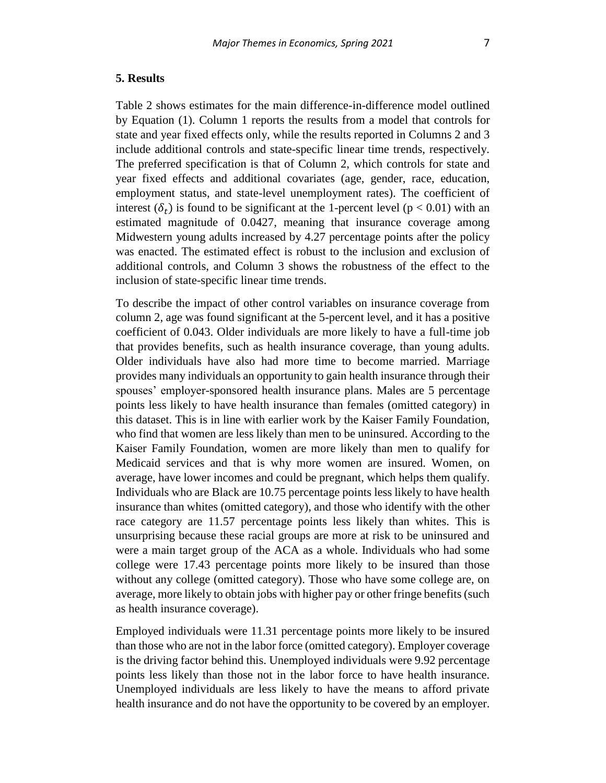#### **5. Results**

Table 2 shows estimates for the main difference-in-difference model outlined by Equation (1). Column 1 reports the results from a model that controls for state and year fixed effects only, while the results reported in Columns 2 and 3 include additional controls and state-specific linear time trends, respectively. The preferred specification is that of Column 2, which controls for state and year fixed effects and additional covariates (age, gender, race, education, employment status, and state-level unemployment rates). The coefficient of interest  $(\delta_t)$  is found to be significant at the 1-percent level (p < 0.01) with an estimated magnitude of 0.0427, meaning that insurance coverage among Midwestern young adults increased by 4.27 percentage points after the policy was enacted. The estimated effect is robust to the inclusion and exclusion of additional controls, and Column 3 shows the robustness of the effect to the inclusion of state-specific linear time trends.

To describe the impact of other control variables on insurance coverage from column 2, age was found significant at the 5-percent level, and it has a positive coefficient of 0.043. Older individuals are more likely to have a full-time job that provides benefits, such as health insurance coverage, than young adults. Older individuals have also had more time to become married. Marriage provides many individuals an opportunity to gain health insurance through their spouses' employer-sponsored health insurance plans. Males are 5 percentage points less likely to have health insurance than females (omitted category) in this dataset. This is in line with earlier work by the Kaiser Family Foundation, who find that women are less likely than men to be uninsured. According to the Kaiser Family Foundation, women are more likely than men to qualify for Medicaid services and that is why more women are insured. Women, on average, have lower incomes and could be pregnant, which helps them qualify. Individuals who are Black are 10.75 percentage points less likely to have health insurance than whites (omitted category), and those who identify with the other race category are 11.57 percentage points less likely than whites. This is unsurprising because these racial groups are more at risk to be uninsured and were a main target group of the ACA as a whole. Individuals who had some college were 17.43 percentage points more likely to be insured than those without any college (omitted category). Those who have some college are, on average, more likely to obtain jobs with higher pay or other fringe benefits (such as health insurance coverage).

Employed individuals were 11.31 percentage points more likely to be insured than those who are not in the labor force (omitted category). Employer coverage is the driving factor behind this. Unemployed individuals were 9.92 percentage points less likely than those not in the labor force to have health insurance. Unemployed individuals are less likely to have the means to afford private health insurance and do not have the opportunity to be covered by an employer.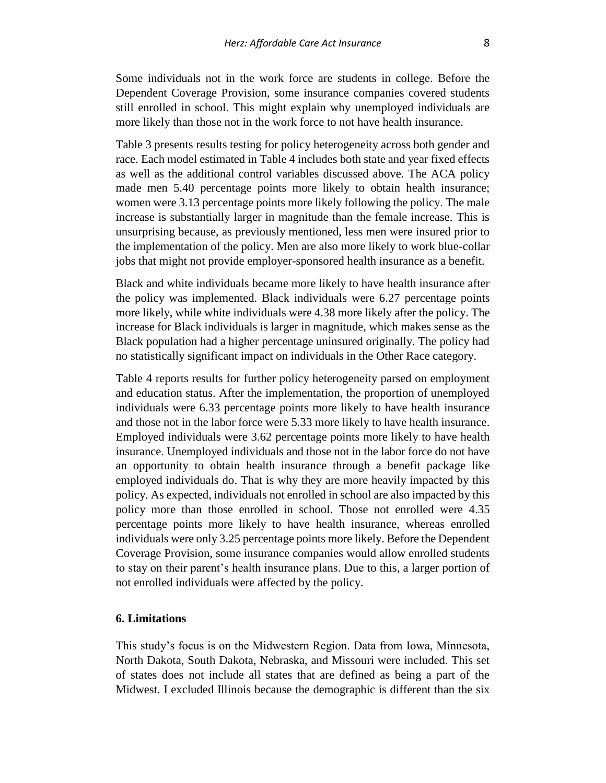Some individuals not in the work force are students in college. Before the Dependent Coverage Provision, some insurance companies covered students still enrolled in school. This might explain why unemployed individuals are more likely than those not in the work force to not have health insurance.

Table 3 presents results testing for policy heterogeneity across both gender and race. Each model estimated in Table 4 includes both state and year fixed effects as well as the additional control variables discussed above. The ACA policy made men 5.40 percentage points more likely to obtain health insurance; women were 3.13 percentage points more likely following the policy. The male increase is substantially larger in magnitude than the female increase. This is unsurprising because, as previously mentioned, less men were insured prior to the implementation of the policy. Men are also more likely to work blue-collar jobs that might not provide employer-sponsored health insurance as a benefit.

Black and white individuals became more likely to have health insurance after the policy was implemented. Black individuals were 6.27 percentage points more likely, while white individuals were 4.38 more likely after the policy. The increase for Black individuals is larger in magnitude, which makes sense as the Black population had a higher percentage uninsured originally. The policy had no statistically significant impact on individuals in the Other Race category.

Table 4 reports results for further policy heterogeneity parsed on employment and education status. After the implementation, the proportion of unemployed individuals were 6.33 percentage points more likely to have health insurance and those not in the labor force were 5.33 more likely to have health insurance. Employed individuals were 3.62 percentage points more likely to have health insurance. Unemployed individuals and those not in the labor force do not have an opportunity to obtain health insurance through a benefit package like employed individuals do. That is why they are more heavily impacted by this policy. As expected, individuals not enrolled in school are also impacted by this policy more than those enrolled in school. Those not enrolled were 4.35 percentage points more likely to have health insurance, whereas enrolled individuals were only 3.25 percentage points more likely. Before the Dependent Coverage Provision, some insurance companies would allow enrolled students to stay on their parent's health insurance plans. Due to this, a larger portion of not enrolled individuals were affected by the policy.

#### **6. Limitations**

This study's focus is on the Midwestern Region. Data from Iowa, Minnesota, North Dakota, South Dakota, Nebraska, and Missouri were included. This set of states does not include all states that are defined as being a part of the Midwest. I excluded Illinois because the demographic is different than the six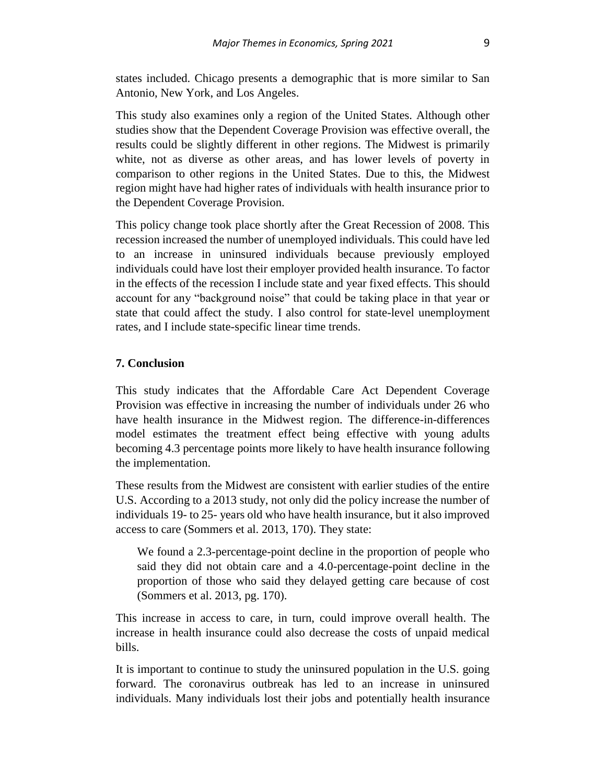states included. Chicago presents a demographic that is more similar to San Antonio, New York, and Los Angeles.

This study also examines only a region of the United States. Although other studies show that the Dependent Coverage Provision was effective overall, the results could be slightly different in other regions. The Midwest is primarily white, not as diverse as other areas, and has lower levels of poverty in comparison to other regions in the United States. Due to this, the Midwest region might have had higher rates of individuals with health insurance prior to the Dependent Coverage Provision.

This policy change took place shortly after the Great Recession of 2008. This recession increased the number of unemployed individuals. This could have led to an increase in uninsured individuals because previously employed individuals could have lost their employer provided health insurance. To factor in the effects of the recession I include state and year fixed effects. This should account for any "background noise" that could be taking place in that year or state that could affect the study. I also control for state-level unemployment rates, and I include state-specific linear time trends.

#### **7. Conclusion**

This study indicates that the Affordable Care Act Dependent Coverage Provision was effective in increasing the number of individuals under 26 who have health insurance in the Midwest region. The difference-in-differences model estimates the treatment effect being effective with young adults becoming 4.3 percentage points more likely to have health insurance following the implementation.

These results from the Midwest are consistent with earlier studies of the entire U.S. According to a 2013 study, not only did the policy increase the number of individuals 19- to 25- years old who have health insurance, but it also improved access to care (Sommers et al. 2013, 170). They state:

We found a 2.3-percentage-point decline in the proportion of people who said they did not obtain care and a 4.0-percentage-point decline in the proportion of those who said they delayed getting care because of cost (Sommers et al. 2013, pg. 170).

This increase in access to care, in turn, could improve overall health. The increase in health insurance could also decrease the costs of unpaid medical bills.

It is important to continue to study the uninsured population in the U.S. going forward. The coronavirus outbreak has led to an increase in uninsured individuals. Many individuals lost their jobs and potentially health insurance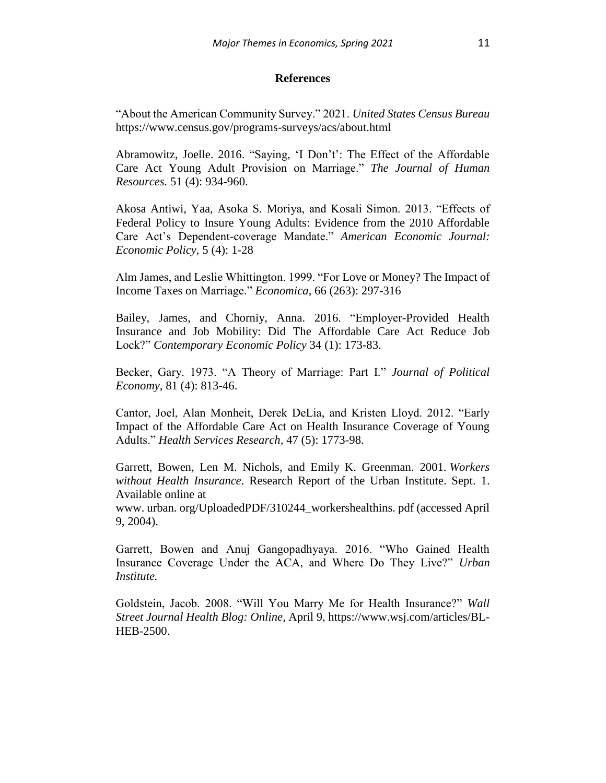#### **References**

"About the American Community Survey." 2021. *United States Census Bureau* https://www.census.gov/programs-surveys/acs/about.html

Abramowitz, Joelle. 2016. "Saying, 'I Don't': The Effect of the Affordable Care Act Young Adult Provision on Marriage." *The Journal of Human Resources.* 51 (4): 934-960.

Akosa Antiwi, Yaa, Asoka S. Moriya, and Kosali Simon. 2013. "Effects of Federal Policy to Insure Young Adults: Evidence from the 2010 Affordable Care Act's Dependent-coverage Mandate." *American Economic Journal: Economic Policy,* 5 (4): 1-28

Alm James, and Leslie Whittington. 1999. "For Love or Money? The Impact of Income Taxes on Marriage." *Economica,* 66 (263): 297-316

Bailey, James, and Chorniy, Anna. 2016. "Employer-Provided Health Insurance and Job Mobility: Did The Affordable Care Act Reduce Job Lock?" *Contemporary Economic Policy* 34 (1): 173-83.

Becker, Gary. 1973. "A Theory of Marriage: Part I." *Journal of Political Economy,* 81 (4): 813-46.

Cantor, Joel, Alan Monheit, Derek DeLia, and Kristen Lloyd. 2012. "Early Impact of the Affordable Care Act on Health Insurance Coverage of Young Adults." *Health Services Research,* 47 (5): 1773-98.

Garrett, Bowen, Len M. Nichols, and Emily K. Greenman. 2001. *Workers without Health Insurance*. Research Report of the Urban Institute. Sept. 1. Available online at

www. urban. org/UploadedPDF/310244\_workershealthins. pdf (accessed April 9, 2004).

Garrett, Bowen and Anuj Gangopadhyaya. 2016. "Who Gained Health Insurance Coverage Under the ACA, and Where Do They Live?" *Urban Institute.*

Goldstein, Jacob. 2008. "Will You Marry Me for Health Insurance?" *Wall Street Journal Health Blog: Online,* April 9, https://www.wsj.com/articles/BL-HEB-2500.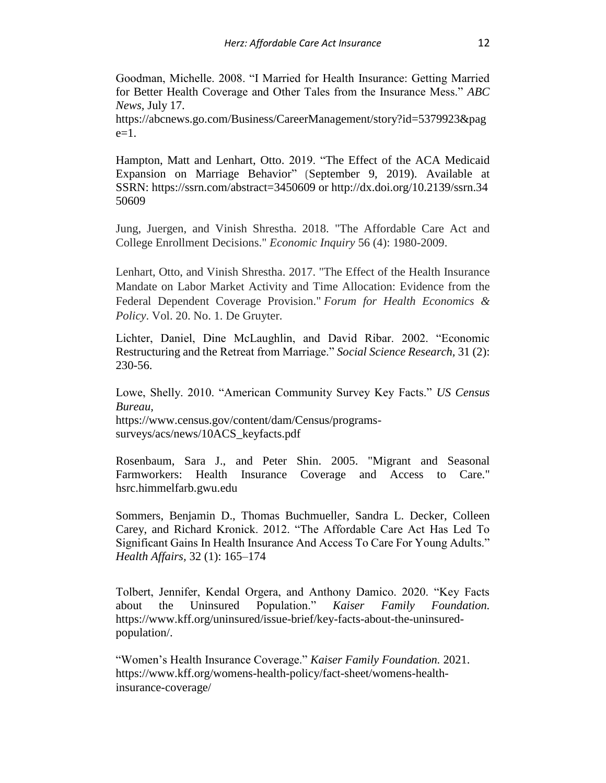Goodman, Michelle. 2008. "I Married for Health Insurance: Getting Married for Better Health Coverage and Other Tales from the Insurance Mess." *ABC News,* July 17.

https://abcnews.go.com/Business/CareerManagement/story?id=5379923&pag  $e=1$ .

Hampton, Matt and Lenhart, Otto. 2019. "The Effect of the ACA Medicaid Expansion on Marriage Behavior" (September 9, 2019). Available at SSRN: <https://ssrn.com/abstract=3450609> or [http://dx.doi.org/10.2139/ssrn.34](https://dx.doi.org/10.2139/ssrn.3450609) [50609](https://dx.doi.org/10.2139/ssrn.3450609)

Jung, Juergen, and Vinish Shrestha. 2018. "The Affordable Care Act and College Enrollment Decisions." *Economic Inquiry* 56 (4): 1980-2009.

Lenhart, Otto, and Vinish Shrestha. 2017. "The Effect of the Health Insurance Mandate on Labor Market Activity and Time Allocation: Evidence from the Federal Dependent Coverage Provision." *Forum for Health Economics & Policy*. Vol. 20. No. 1. De Gruyter.

Lichter, Daniel, Dine McLaughlin, and David Ribar. 2002. "Economic Restructuring and the Retreat from Marriage." *Social Science Research,* 31 (2): 230-56.

Lowe, Shelly. 2010. "American Community Survey Key Facts." *US Census Bureau,* https://www.census.gov/content/dam/Census/programssurveys/acs/news/10ACS\_keyfacts.pdf

Rosenbaum, Sara J., and Peter Shin. 2005. "Migrant and Seasonal Farmworkers: Health Insurance Coverage and Access to Care." hsrc.himmelfarb.gwu.edu

Sommers, Benjamin D., Thomas Buchmueller, Sandra L. Decker, Colleen Carey, and Richard Kronick. 2012. "The Affordable Care Act Has Led To Significant Gains In Health Insurance And Access To Care For Young Adults." *Health Affairs,* 32 (1): 165–174

Tolbert, Jennifer, Kendal Orgera, and Anthony Damico. 2020. "Key Facts about the Uninsured Population." *Kaiser Family Foundation.*  https://www.kff.org/uninsured/issue-brief/key-facts-about-the-uninsuredpopulation/.

"Women's Health Insurance Coverage." *Kaiser Family Foundation.* 2021. https://www.kff.org/womens-health-policy/fact-sheet/womens-healthinsurance-coverage/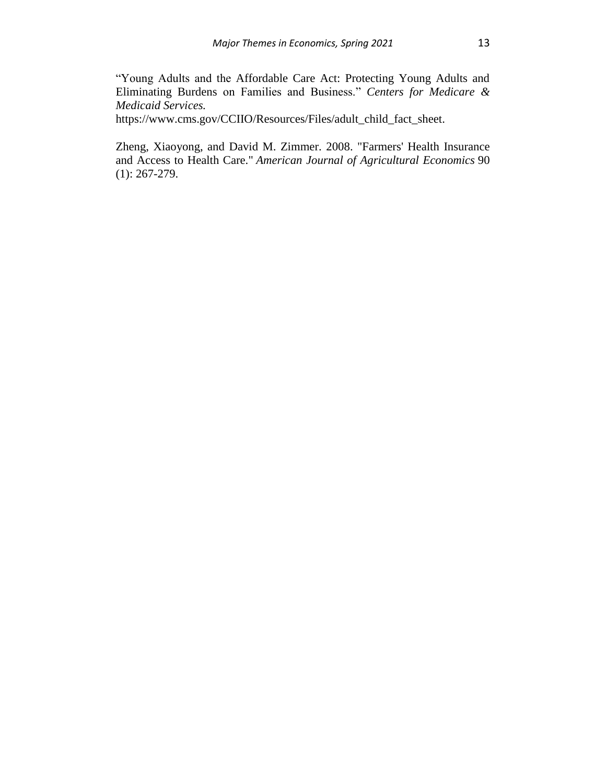"Young Adults and the Affordable Care Act: Protecting Young Adults and Eliminating Burdens on Families and Business." *Centers for Medicare & Medicaid Services.*

https://www.cms.gov/CCIIO/Resources/Files/adult\_child\_fact\_sheet.

Zheng, Xiaoyong, and David M. Zimmer. 2008. "Farmers' Health Insurance and Access to Health Care." *American Journal of Agricultural Economics* 90 (1): 267-279.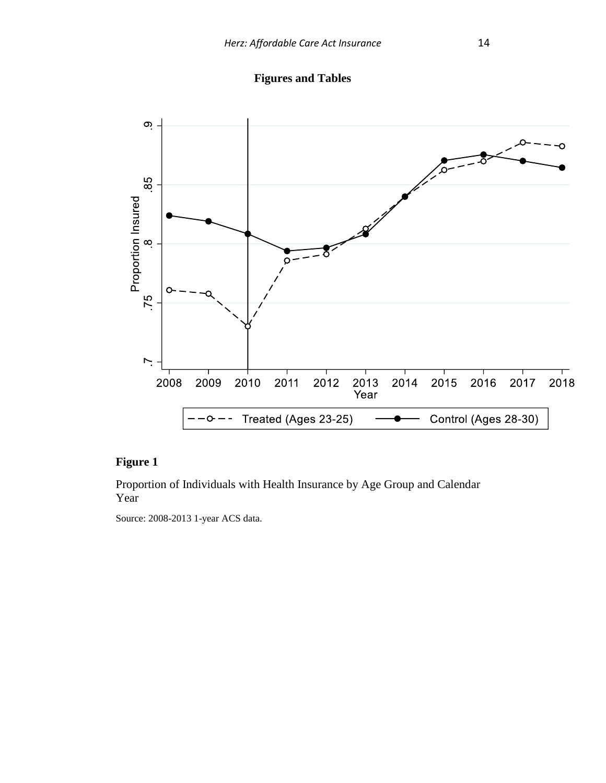**Figures and Tables**



### **Figure 1**

Proportion of Individuals with Health Insurance by Age Group and Calendar Year

Source: 2008-2013 1-year ACS data.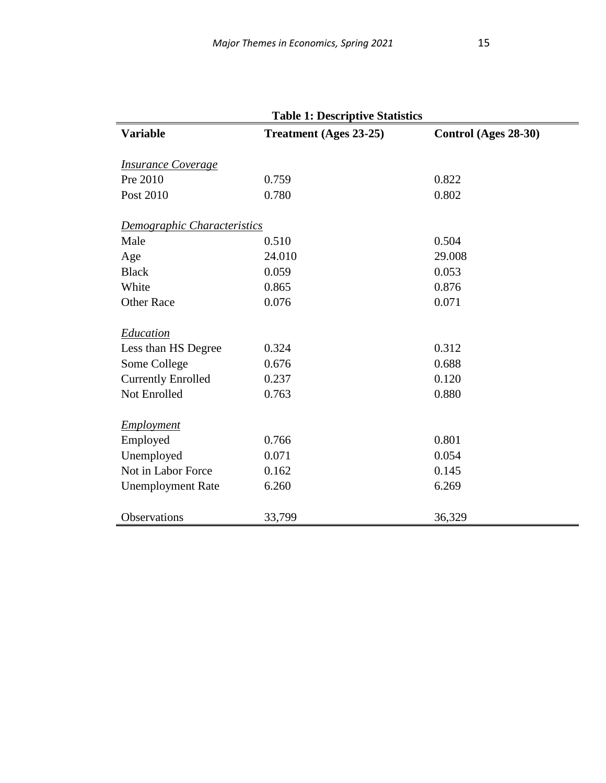| <b>Variable</b>             | <b>Table 1: Descriptive Statistics</b> |                      |
|-----------------------------|----------------------------------------|----------------------|
|                             | <b>Treatment</b> (Ages 23-25)          | Control (Ages 28-30) |
| <b>Insurance Coverage</b>   |                                        |                      |
| Pre 2010                    | 0.759                                  | 0.822                |
| Post 2010                   | 0.780                                  | 0.802                |
|                             |                                        |                      |
| Demographic Characteristics |                                        |                      |
| Male                        | 0.510                                  | 0.504                |
| Age                         | 24.010                                 | 29.008               |
| <b>Black</b>                | 0.059                                  | 0.053                |
| White                       | 0.865                                  | 0.876                |
| <b>Other Race</b>           | 0.076                                  | 0.071                |
| <b>Education</b>            |                                        |                      |
| Less than HS Degree         | 0.324                                  | 0.312                |
| Some College                | 0.676                                  | 0.688                |
| <b>Currently Enrolled</b>   | 0.237                                  | 0.120                |
| Not Enrolled                | 0.763                                  | 0.880                |
|                             |                                        |                      |
| <b>Employment</b>           |                                        |                      |
| Employed                    | 0.766                                  | 0.801                |
| Unemployed                  | 0.071                                  | 0.054                |
| Not in Labor Force          | 0.162                                  | 0.145                |
| <b>Unemployment Rate</b>    | 6.260                                  | 6.269                |
|                             |                                        |                      |
| Observations                | 33,799                                 | 36,329               |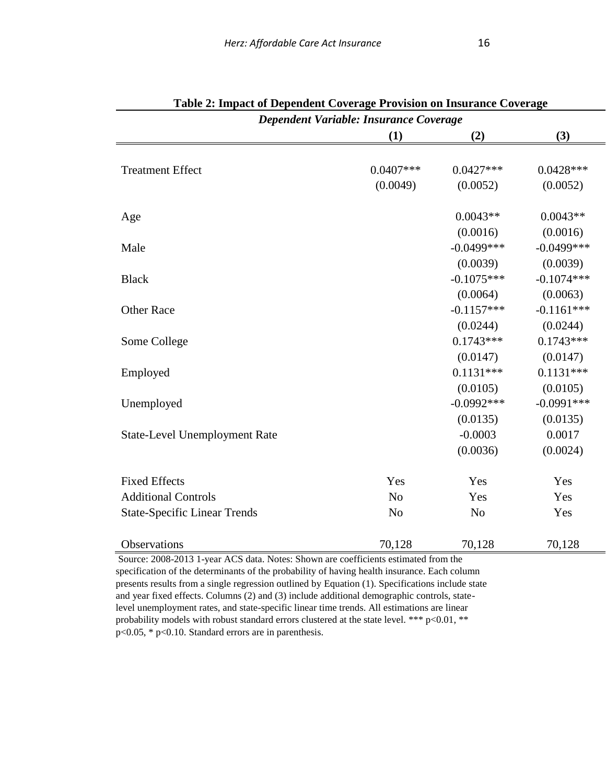| Dependent Variable: Insurance Coverage |                |                |               |  |  |  |
|----------------------------------------|----------------|----------------|---------------|--|--|--|
|                                        | (1)            | (2)            | (3)           |  |  |  |
|                                        |                |                |               |  |  |  |
| <b>Treatment Effect</b>                | $0.0407***$    | $0.0427***$    | $0.0428***$   |  |  |  |
|                                        | (0.0049)       | (0.0052)       | (0.0052)      |  |  |  |
| Age                                    |                | $0.0043**$     | $0.0043**$    |  |  |  |
|                                        |                | (0.0016)       | (0.0016)      |  |  |  |
| Male                                   |                | $-0.0499$ ***  | $-0.0499$ *** |  |  |  |
|                                        |                | (0.0039)       | (0.0039)      |  |  |  |
| <b>Black</b>                           |                | $-0.1075***$   | $-0.1074***$  |  |  |  |
|                                        |                | (0.0064)       | (0.0063)      |  |  |  |
| <b>Other Race</b>                      |                | $-0.1157***$   | $-0.1161***$  |  |  |  |
|                                        |                | (0.0244)       | (0.0244)      |  |  |  |
| Some College                           |                | $0.1743***$    | $0.1743***$   |  |  |  |
|                                        |                | (0.0147)       | (0.0147)      |  |  |  |
| Employed                               |                | $0.1131***$    | $0.1131***$   |  |  |  |
|                                        |                | (0.0105)       | (0.0105)      |  |  |  |
| Unemployed                             |                | $-0.0992***$   | $-0.0991***$  |  |  |  |
|                                        |                | (0.0135)       | (0.0135)      |  |  |  |
| <b>State-Level Unemployment Rate</b>   |                | $-0.0003$      | 0.0017        |  |  |  |
|                                        |                | (0.0036)       | (0.0024)      |  |  |  |
| <b>Fixed Effects</b>                   | Yes            | Yes            | Yes           |  |  |  |
| <b>Additional Controls</b>             | N <sub>o</sub> | Yes            | Yes           |  |  |  |
| <b>State-Specific Linear Trends</b>    | N <sub>o</sub> | N <sub>o</sub> | Yes           |  |  |  |
| Observations                           | 70,128         | 70,128         | 70,128        |  |  |  |

| Table 2: Impact of Dependent Coverage Provision on Insurance Coverage |
|-----------------------------------------------------------------------|
|-----------------------------------------------------------------------|

Source: 2008-2013 1-year ACS data. Notes: Shown are coefficients estimated from the specification of the determinants of the probability of having health insurance. Each column presents results from a single regression outlined by Equation (1). Specifications include state and year fixed effects. Columns (2) and (3) include additional demographic controls, statelevel unemployment rates, and state-specific linear time trends. All estimations are linear probability models with robust standard errors clustered at the state level. \*\*\* p<0.01, \*\* p<0.05, \* p<0.10. Standard errors are in parenthesis.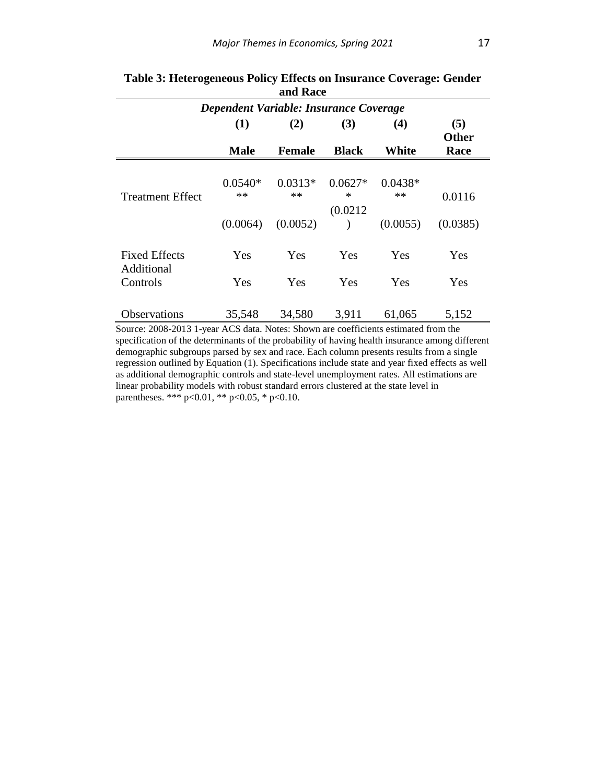| Dependent Variable: Insurance Coverage |                   |                   |                     |                   |                     |
|----------------------------------------|-------------------|-------------------|---------------------|-------------------|---------------------|
|                                        | (1)               | (2)               | (3)                 | (4)               | (5)<br><b>Other</b> |
|                                        | <b>Male</b>       | <b>Female</b>     | <b>Black</b>        | White             | Race                |
| <b>Treatment Effect</b>                | $0.0540*$<br>$**$ | $0.0313*$<br>$**$ | $0.0627*$<br>$\ast$ | $0.0438*$<br>$**$ | 0.0116              |
|                                        | (0.0064)          | (0.0052)          | (0.0212)            | (0.0055)          | (0.0385)            |
| <b>Fixed Effects</b><br>Additional     | Yes               | Yes               | Yes                 | <b>Yes</b>        | Yes                 |
| Controls                               | Yes               | Yes               | Yes                 | Yes               | Yes                 |
| <b>Observations</b>                    | 35,548            | 34,580            | 3.911               | 61,065            | 5,152               |

#### **Table 3: Heterogeneous Policy Effects on Insurance Coverage: Gender and Race**

Source: 2008-2013 1-year ACS data. Notes: Shown are coefficients estimated from the specification of the determinants of the probability of having health insurance among different demographic subgroups parsed by sex and race. Each column presents results from a single regression outlined by Equation (1). Specifications include state and year fixed effects as well as additional demographic controls and state-level unemployment rates. All estimations are linear probability models with robust standard errors clustered at the state level in parentheses. \*\*\* p<0.01, \*\* p<0.05, \* p<0.10.